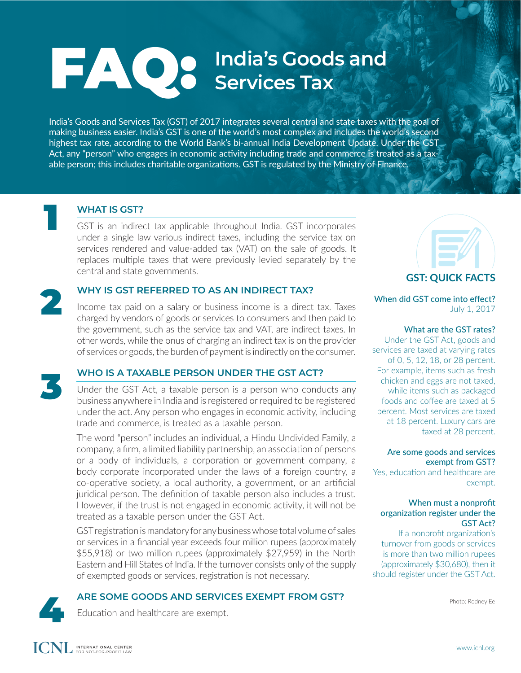### FAQ: **India's Goods and Services Tax**

India's Goods and Services Tax (GST) of 2017 integrates several central and state taxes with the goal of making business easier. India's GST is one of the world's most complex and includes the world's second highest tax rate, according to the World Bank's bi-annual India Development Update. Under the GST Act, any "person" who engages in economic activity including trade and commerce is treated as a taxable person; this includes charitable organizations. GST is regulated by the Ministry of Finance.



#### **WHAT IS GST?**

GST is an indirect tax applicable throughout India. GST incorporates under a single law various indirect taxes, including the service tax on services rendered and value-added tax (VAT) on the sale of goods. It replaces multiple taxes that were previously levied separately by the central and state governments.



#### **WHY IS GST REFERRED TO AS AN INDIRECT TAX?**

Income tax paid on a salary or business income is a direct tax. Taxes charged by vendors of goods or services to consumers and then paid to the government, such as the service tax and VAT, are indirect taxes. In other words, while the onus of charging an indirect tax is on the provider of services or goods, the burden of payment is indirectly on the consumer.



#### **WHO IS A TAXABLE PERSON UNDER THE GST ACT?**

Under the GST Act, a taxable person is a person who conducts any business anywhere in India and is registered or required to be registered under the act. Any person who engages in economic activity, including trade and commerce, is treated as a taxable person.

The word "person" includes an individual, a Hindu Undivided Family, a company, a firm, a limited liability partnership, an association of persons or a body of individuals, a corporation or government company, a body corporate incorporated under the laws of a foreign country, a co-operative society, a local authority, a government, or an artificial juridical person. The definition of taxable person also includes a trust. However, if the trust is not engaged in economic activity, it will not be treated as a taxable person under the GST Act.

GST registration is mandatory for any business whose total volume of sales or services in a financial year exceeds four million rupees (approximately \$55,918) or two million rupees (approximately \$27,959) in the North Eastern and Hill States of India. If the turnover consists only of the supply of exempted goods or services, registration is not necessary.

# **ARE SOME GOODS AND SERVICES EXEMPT FROM GST?**<br>Education and healthcare are exempt.





### **GST: QUICK FACTS**

#### When did GST come into effect? July 1, 2017

#### What are the GST rates?

Under the GST Act, goods and services are taxed at varying rates of 0, 5, 12, 18, or 28 percent. For example, items such as fresh chicken and eggs are not taxed, while items such as packaged foods and coffee are taxed at 5 percent. Most services are taxed at 18 percent. Luxury cars are taxed at 28 percent.

#### Are some goods and services exempt from GST?

Yes, education and healthcare are exempt.

#### When must a nonprofit organization register under the GST Act?

If a nonprofit organization's turnover from goods or services is more than two million rupees (approximately \$30,680), then it should register under the GST Act.

Photo: Rodney Ee

INTERNATIONAL CENTER